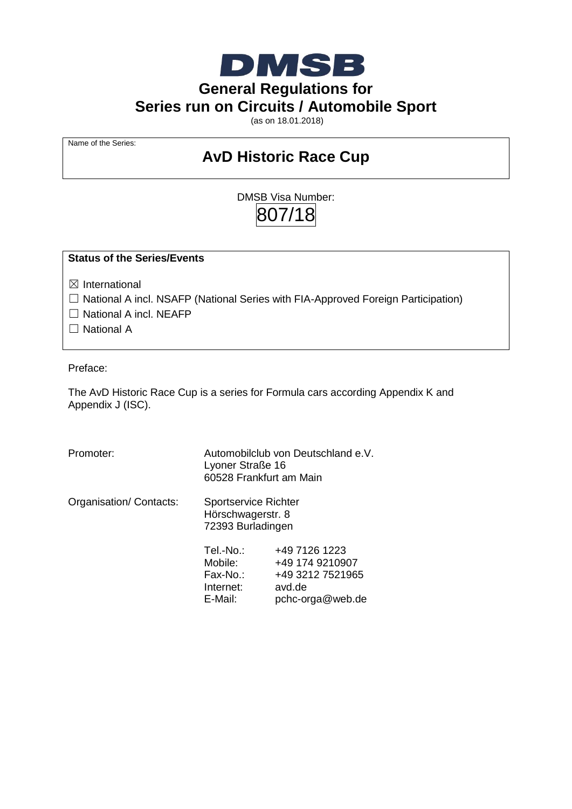

**General Regulations for**

**Series run on Circuits / Automobile Sport**

(as on 18.01.2018)

Name of the Series:

# **AvD Historic Race Cup**

DMSB Visa Number: 807/18

#### **Status of the Series/Events**

☒ International

□ National A incl. NSAFP (National Series with FIA-Approved Foreign Participation)

□ National A incl. NEAFP

□ National A

Preface:

The AvD Historic Race Cup is a series for Formula cars according Appendix K and Appendix J (ISC).

| Promoter:              | Automobilclub von Deutschland e.V.<br>Lyoner Straße 16<br>60528 Frankfurt am Main |                                                                                    |  |  |  |  |  |  |  |
|------------------------|-----------------------------------------------------------------------------------|------------------------------------------------------------------------------------|--|--|--|--|--|--|--|
| Organisation/Contacts: | <b>Sportservice Richter</b><br>Hörschwagerstr. 8<br>72393 Burladingen             |                                                                                    |  |  |  |  |  |  |  |
|                        | Tel.-No.:<br>Mobile:<br>Fax-No.:<br>Internet:<br>E-Mail:                          | +49 7126 1223<br>+49 174 9210907<br>+49 3212 7521965<br>avd.de<br>pchc-orga@web.de |  |  |  |  |  |  |  |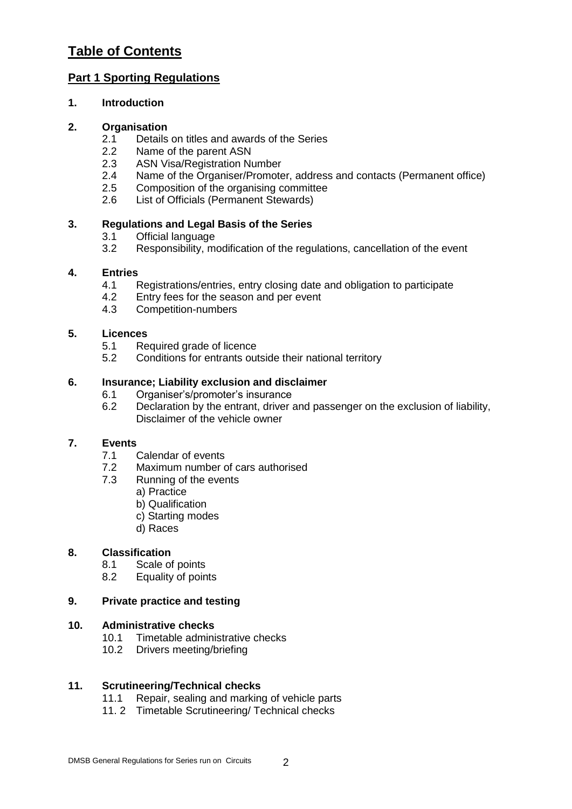# **Table of Contents**

# **Part 1 Sporting Regulations**

# **1. Introduction**

### **2. Organisation**

- 2.1 Details on titles and awards of the Series
- 2.2 Name of the parent ASN<br>2.3 ASN Visa/Registration Nu
- ASN Visa/Registration Number
- 2.4 Name of the Organiser/Promoter, address and contacts (Permanent office)
- 2.5 Composition of the organising committee
- 2.6 List of Officials (Permanent Stewards)

# **3. Regulations and Legal Basis of the Series**

- 3.1 Official language<br>3.2 Responsibility. me
- Responsibility, modification of the regulations, cancellation of the event

### **4. Entries**

- 4.1 Registrations/entries, entry closing date and obligation to participate
- 4.2 Entry fees for the season and per event
- 4.3 Competition-numbers

# **5. Licences**

- 5.1 Required grade of licence
- 5.2 Conditions for entrants outside their national territory

### **6. Insurance; Liability exclusion and disclaimer**

- 6.1 Organiser's/promoter's insurance
- 6.2 Declaration by the entrant, driver and passenger on the exclusion of liability, Disclaimer of the vehicle owner

#### **7. Events**

- 7.1 Calendar of events
- 7.2 Maximum number of cars authorised
- 7.3 Running of the events
	- a) Practice
	- b) Qualification
	- c) Starting modes
	- d) Races

#### **8. Classification**

- 8.1 Scale of points
- 8.2 Equality of points

# **9. Private practice and testing**

#### **10. Administrative checks**

- 10.1 Timetable administrative checks
- 10.2 Drivers meeting/briefing

#### **11. Scrutineering/Technical checks**

- 11.1 Repair, sealing and marking of vehicle parts
- 11. 2 Timetable Scrutineering/ Technical checks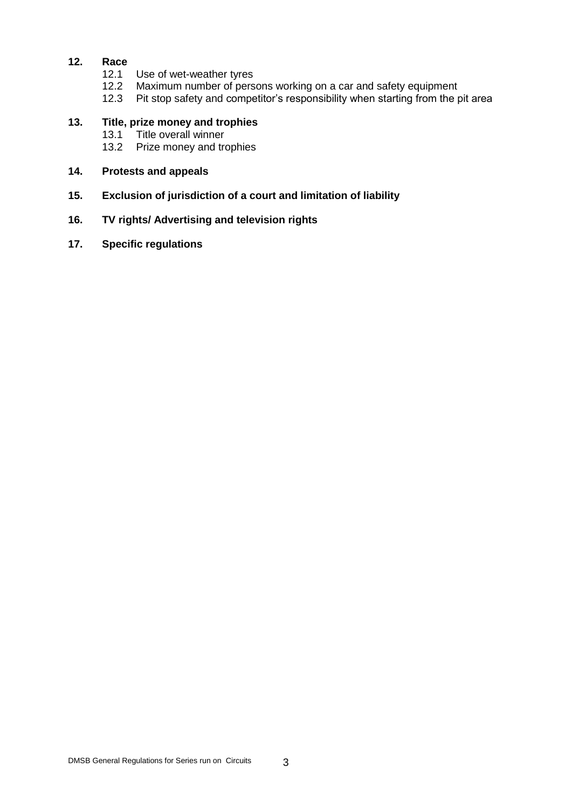# **12. Race**

- 12.1 Use of wet-weather tyres
- 12.2 Maximum number of persons working on a car and safety equipment
- 12.3 Pit stop safety and competitor's responsibility when starting from the pit area

# **13. Title, prize money and trophies**

- 13.1 Title overall winner<br>13.2 Prize money and tre
- Prize money and trophies

#### **14. Protests and appeals**

- **15. Exclusion of jurisdiction of a court and limitation of liability**
- **16. TV rights/ Advertising and television rights**
- **17. Specific regulations**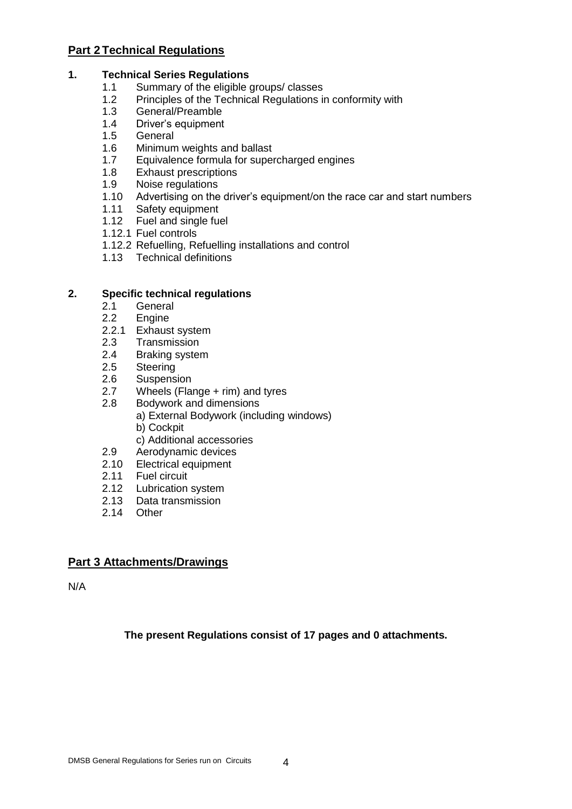# **Part 2 Technical Regulations**

### **1. Technical Series Regulations**

- 1.1 Summary of the eligible groups/ classes
- 1.2 Principles of the Technical Regulations in conformity with
- 1.3 General/Preamble
- 1.4 Driver's equipment
- 1.5 General
- 1.6 Minimum weights and ballast
- 1.7 Equivalence formula for supercharged engines
- 1.8 Exhaust prescriptions<br>1.9 Noise regulations
- 1.9 Noise regulations<br>1.10 Advertising on the
- Advertising on the driver's equipment/on the race car and start numbers
- 1.11 Safety equipment
- 1.12 Fuel and single fuel
- 1.12.1 Fuel controls
- 1.12.2 Refuelling, Refuelling installations and control
- 1.13 Technical definitions

### **2. Specific technical regulations**

- 2.1 General
- 2.2 Engine
- 2.2.1 Exhaust system
- 2.3 Transmission
- 2.4 Braking system
- 2.5 Steering
- 2.6 Suspension
- 2.7 Wheels (Flange + rim) and tyres
- 2.8 Bodywork and dimensions a) External Bodywork (including windows)
	- b) Cockpit
	- c) Additional accessories
- 2.9 Aerodynamic devices
- 2.10 Electrical equipment
- 2.11 Fuel circuit
- 2.12 Lubrication system
- 2.13 Data transmission
- 2.14 Other

# **Part 3 Attachments/Drawings**

N/A

**The present Regulations consist of 17 pages and 0 attachments.**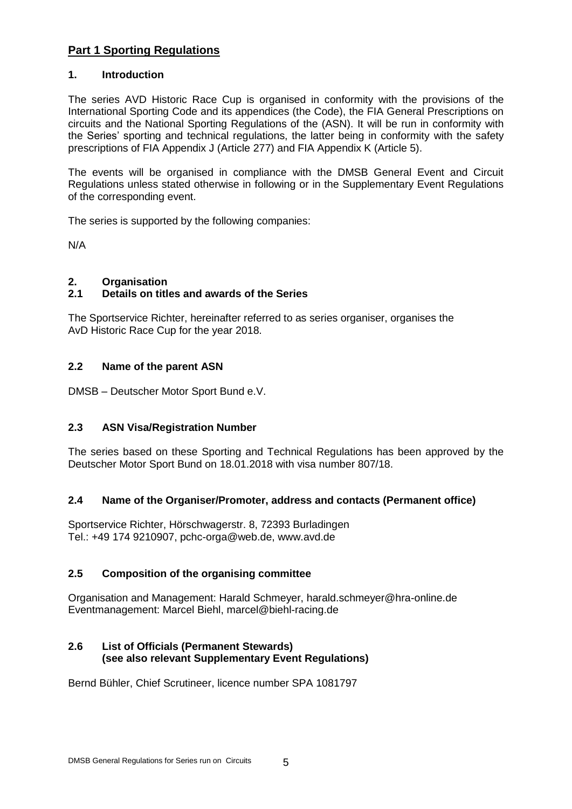# **Part 1 Sporting Regulations**

#### **1. Introduction**

The series AVD Historic Race Cup is organised in conformity with the provisions of the International Sporting Code and its appendices (the Code), the FIA General Prescriptions on circuits and the National Sporting Regulations of the (ASN). It will be run in conformity with the Series' sporting and technical regulations, the latter being in conformity with the safety prescriptions of FIA Appendix J (Article 277) and FIA Appendix K (Article 5).

The events will be organised in compliance with the DMSB General Event and Circuit Regulations unless stated otherwise in following or in the Supplementary Event Regulations of the corresponding event.

The series is supported by the following companies:

N/A

# **2. Organisation**

# **2.1 Details on titles and awards of the Series**

The Sportservice Richter, hereinafter referred to as series organiser, organises the AvD Historic Race Cup for the year 2018.

### **2.2 Name of the parent ASN**

DMSB – Deutscher Motor Sport Bund e.V.

# **2.3 ASN Visa/Registration Number**

The series based on these Sporting and Technical Regulations has been approved by the Deutscher Motor Sport Bund on 18.01.2018 with visa number 807/18.

#### **2.4 Name of the Organiser/Promoter, address and contacts (Permanent office)**

Sportservice Richter, Hörschwagerstr. 8, 72393 Burladingen Tel.: +49 174 9210907, pchc-orga@web.de, www.avd.de

# **2.5 Composition of the organising committee**

Organisation and Management: Harald Schmeyer, harald.schmeyer@hra-online.de Eventmanagement: Marcel Biehl, marcel@biehl-racing.de

# **2.6 List of Officials (Permanent Stewards) (see also relevant Supplementary Event Regulations)**

Bernd Bühler, Chief Scrutineer, licence number SPA 1081797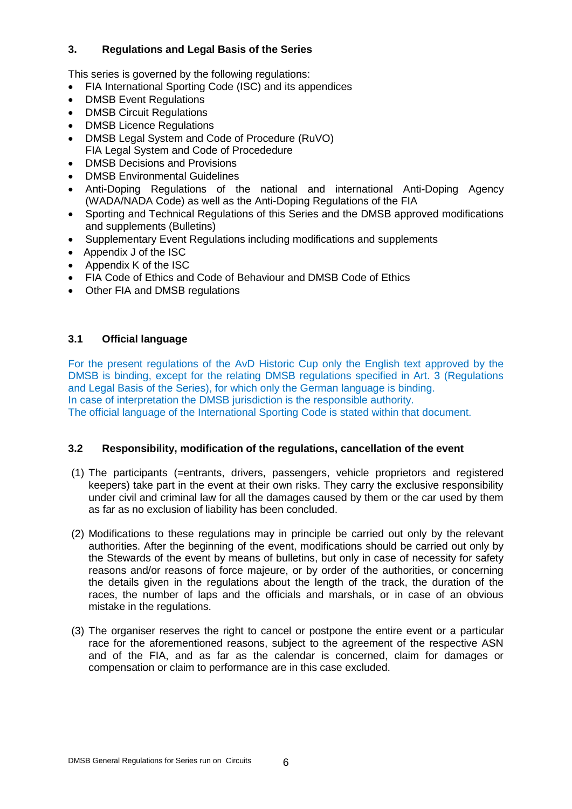# **3. Regulations and Legal Basis of the Series**

This series is governed by the following regulations:

- FIA International Sporting Code (ISC) and its appendices
- DMSB Event Regulations
- DMSB Circuit Regulations
- DMSB Licence Regulations
- DMSB Legal System and Code of Procedure (RuVO) FIA Legal System and Code of Procededure
- DMSB Decisions and Provisions
- DMSB Environmental Guidelines
- Anti-Doping Regulations of the national and international Anti-Doping Agency (WADA/NADA Code) as well as the Anti-Doping Regulations of the FIA
- Sporting and Technical Regulations of this Series and the DMSB approved modifications and supplements (Bulletins)
- Supplementary Event Regulations including modifications and supplements
- Appendix J of the ISC
- Appendix K of the ISC
- FIA Code of Ethics and Code of Behaviour and DMSB Code of Ethics
- Other FIA and DMSB regulations

# **3.1 Official language**

For the present regulations of the AvD Historic Cup only the English text approved by the DMSB is binding, except for the relating DMSB regulations specified in Art. 3 (Regulations and Legal Basis of the Series), for which only the German language is binding. In case of interpretation the DMSB jurisdiction is the responsible authority. The official language of the International Sporting Code is stated within that document.

# **3.2 Responsibility, modification of the regulations, cancellation of the event**

- (1) The participants (=entrants, drivers, passengers, vehicle proprietors and registered keepers) take part in the event at their own risks. They carry the exclusive responsibility under civil and criminal law for all the damages caused by them or the car used by them as far as no exclusion of liability has been concluded.
- (2) Modifications to these regulations may in principle be carried out only by the relevant authorities. After the beginning of the event, modifications should be carried out only by the Stewards of the event by means of bulletins, but only in case of necessity for safety reasons and/or reasons of force majeure, or by order of the authorities, or concerning the details given in the regulations about the length of the track, the duration of the races, the number of laps and the officials and marshals, or in case of an obvious mistake in the regulations.
- (3) The organiser reserves the right to cancel or postpone the entire event or a particular race for the aforementioned reasons, subject to the agreement of the respective ASN and of the FIA, and as far as the calendar is concerned, claim for damages or compensation or claim to performance are in this case excluded.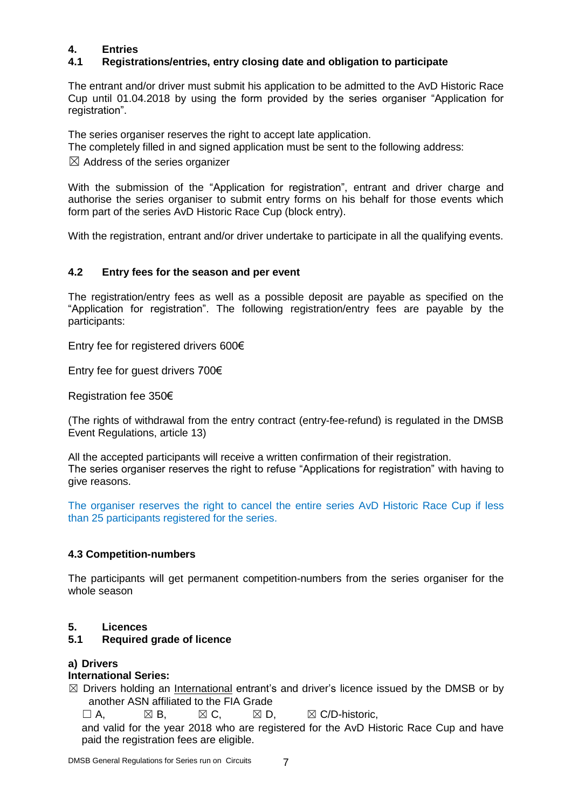# **4. Entries**

# **4.1 Registrations/entries, entry closing date and obligation to participate**

The entrant and/or driver must submit his application to be admitted to the AvD Historic Race Cup until 01.04.2018 by using the form provided by the series organiser "Application for registration".

The series organiser reserves the right to accept late application.

The completely filled in and signed application must be sent to the following address:

 $\boxtimes$  Address of the series organizer

With the submission of the "Application for registration", entrant and driver charge and authorise the series organiser to submit entry forms on his behalf for those events which form part of the series AvD Historic Race Cup (block entry).

With the registration, entrant and/or driver undertake to participate in all the qualifying events.

# **4.2 Entry fees for the season and per event**

The registration/entry fees as well as a possible deposit are payable as specified on the "Application for registration". The following registration/entry fees are payable by the participants:

Entry fee for registered drivers 600€

Entry fee for guest drivers 700€

Registration fee 350€

(The rights of withdrawal from the entry contract (entry-fee-refund) is regulated in the DMSB Event Regulations, article 13)

All the accepted participants will receive a written confirmation of their registration. The series organiser reserves the right to refuse "Applications for registration" with having to give reasons.

The organiser reserves the right to cancel the entire series AvD Historic Race Cup if less than 25 participants registered for the series.

# **4.3 Competition-numbers**

The participants will get permanent competition-numbers from the series organiser for the whole season

#### **5. Licences**

#### **5.1 Required grade of licence**

#### **a) Drivers**

#### **International Series:**

 $\boxtimes$  Drivers holding an International entrant's and driver's licence issued by the DMSB or by another ASN affiliated to the FIA Grade

 $\Box$  A,  $\boxtimes$  B,  $\boxtimes$  C,  $\boxtimes$  D,  $\boxtimes$  C/D-historic,

and valid for the year 2018 who are registered for the AvD Historic Race Cup and have paid the registration fees are eligible.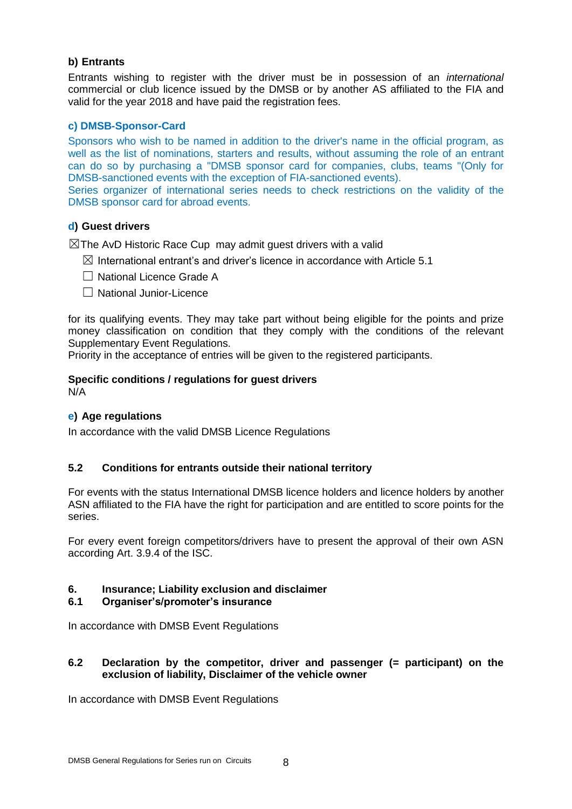#### **b) Entrants**

Entrants wishing to register with the driver must be in possession of an *international* commercial or club licence issued by the DMSB or by another AS affiliated to the FIA and valid for the year 2018 and have paid the registration fees.

#### **c) DMSB-Sponsor-Card**

Sponsors who wish to be named in addition to the driver's name in the official program, as well as the list of nominations, starters and results, without assuming the role of an entrant can do so by purchasing a "DMSB sponsor card for companies, clubs, teams "(Only for DMSB-sanctioned events with the exception of FIA-sanctioned events).

Series organizer of international series needs to check restrictions on the validity of the DMSB sponsor card for abroad events.

#### **d) Guest drivers**

 $\boxtimes$ The AvD Historic Race Cup may admit guest drivers with a valid

- $\boxtimes$  International entrant's and driver's licence in accordance with Article 5.1
- □ National Licence Grade A
- ☐ National Junior-Licence

for its qualifying events. They may take part without being eligible for the points and prize money classification on condition that they comply with the conditions of the relevant Supplementary Event Regulations.

Priority in the acceptance of entries will be given to the registered participants.

# **Specific conditions / regulations for guest drivers**

N/A

#### **e) Age regulations**

In accordance with the valid DMSB Licence Regulations

#### **5.2 Conditions for entrants outside their national territory**

For events with the status International DMSB licence holders and licence holders by another ASN affiliated to the FIA have the right for participation and are entitled to score points for the series.

For every event foreign competitors/drivers have to present the approval of their own ASN according Art. 3.9.4 of the ISC.

#### **6. Insurance; Liability exclusion and disclaimer**

#### **6.1 Organiser's/promoter's insurance**

In accordance with DMSB Event Regulations

#### **6.2 Declaration by the competitor, driver and passenger (= participant) on the exclusion of liability, Disclaimer of the vehicle owner**

In accordance with DMSB Event Regulations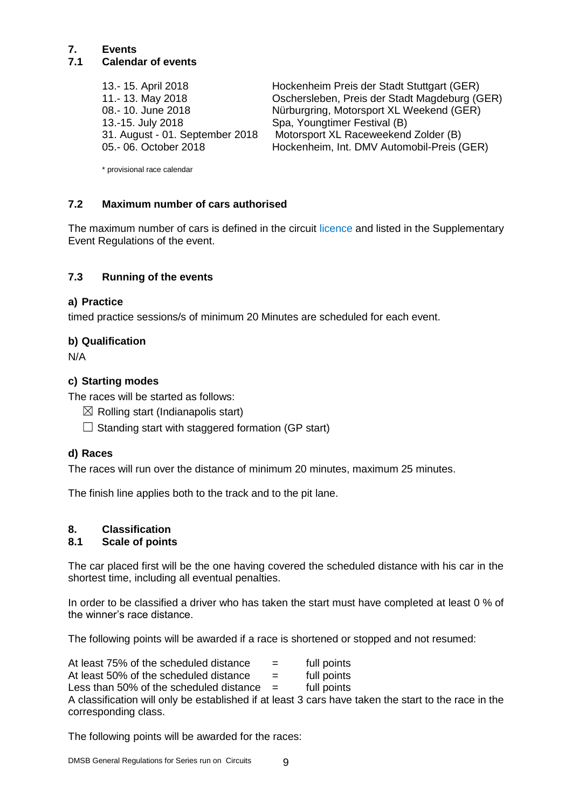#### **7. Events 7.1 Calendar of events**

13.-15. July 2018 Spa, Youngtimer Festival (B)

13.- 15. April 2018 Hockenheim Preis der Stadt Stuttgart (GER) 11.- 13. May 2018 Oschersleben, Preis der Stadt Magdeburg (GER) 08.- 10. June 2018 Nürburgring, Motorsport XL Weekend (GER) 31. August - 01. September 2018 Motorsport XL Raceweekend Zolder (B) Hockenheim, Int. DMV Automobil-Preis (GER)

\* provisional race calendar

### **7.2 Maximum number of cars authorised**

The maximum number of cars is defined in the circuit licence and listed in the Supplementary Event Regulations of the event.

### **7.3 Running of the events**

#### **a) Practice**

timed practice sessions/s of minimum 20 Minutes are scheduled for each event.

#### **b) Qualification**

N/A

#### **c) Starting modes**

The races will be started as follows:

- $\boxtimes$  Rolling start (Indianapolis start)
- $\Box$  Standing start with staggered formation (GP start)

#### **d) Races**

The races will run over the distance of minimum 20 minutes, maximum 25 minutes.

The finish line applies both to the track and to the pit lane.

# **8. Classification**

#### **8.1 Scale of points**

The car placed first will be the one having covered the scheduled distance with his car in the shortest time, including all eventual penalties.

In order to be classified a driver who has taken the start must have completed at least 0 % of the winner's race distance.

The following points will be awarded if a race is shortened or stopped and not resumed:

At least  $75\%$  of the scheduled distance  $\qquad \qquad = \qquad$  full points At least 50% of the scheduled distance  $=$  full points Less than 50% of the scheduled distance  $=$  full points A classification will only be established if at least 3 cars have taken the start to the race in the corresponding class.

The following points will be awarded for the races: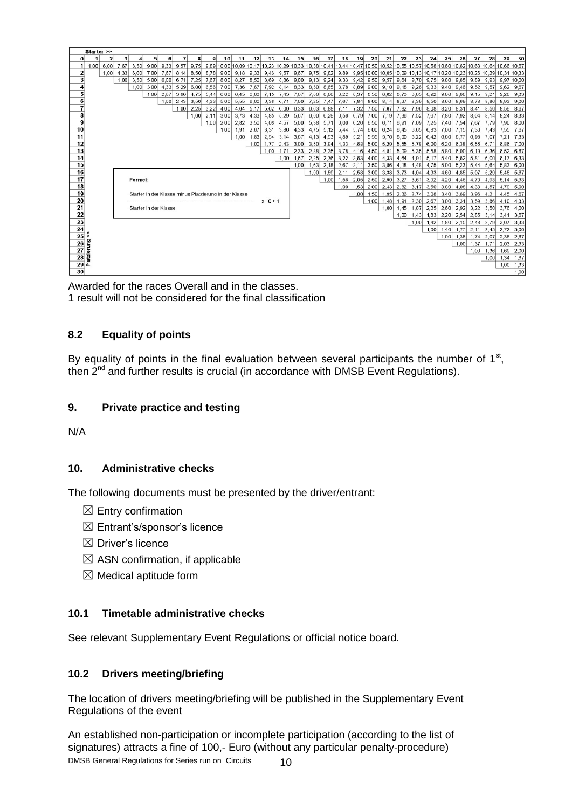|                     | Starter >>                                           |                                                                                      |         |      |                                                       |      |      |      |                 |      |      |            |      |      |      |      |      |      |      |      |      |      |      |      |      |      |             |                                                                                                                                          |      |
|---------------------|------------------------------------------------------|--------------------------------------------------------------------------------------|---------|------|-------------------------------------------------------|------|------|------|-----------------|------|------|------------|------|------|------|------|------|------|------|------|------|------|------|------|------|------|-------------|------------------------------------------------------------------------------------------------------------------------------------------|------|
| $\Omega$            |                                                      | $\overline{2}$<br>3                                                                  |         | 5    | 6                                                     |      | 8    | ۹    | 10 <sup>1</sup> | 11   | 12   | 13         | 14   | 15   | 16   | 17   | 18   | 19   | 20   | 21   | 22   | 23   | 24   | 25   | 26   | 27   | 28          | 29                                                                                                                                       | 30   |
|                     | 1,00<br>6.00                                         | 7.67                                                                                 | 8.50    | 9.00 | 9.33                                                  | 9.57 | 9.75 |      |                 |      |      |            |      |      |      |      |      |      |      |      |      |      |      |      |      |      |             | 9.89 10.00 10.09 10.17 10.23 10.29 10.33 10.38 10.41 10.44 10.47 10.50 10.52 10.55 10.57 10.58 10.60 10.62 10.63 10.64 10.64 10.66 10.67 |      |
| 2                   | 1.00                                                 | 4.33                                                                                 | 6.00    | 7.00 | 7.67                                                  | 8.14 | 8.50 | 8.78 | 9,00            | 9.18 | 9.33 | 9.46       | 9.57 | 9.67 | 9,75 | 9,82 | 9.89 |      |      |      |      |      |      |      |      |      |             | 9,95 10,00 10,05 10,09 10,13 10,17 10,20 10,23 10,26 10,29 10,31 10,33                                                                   |      |
| 3                   |                                                      | 1.00                                                                                 | 3.50    |      | $5.00 \ 6.00$                                         | 6.71 | 7,25 | 7.67 | 8.00            | 8.27 | 8.50 | 8.69       | 8.86 | 9.00 | 9.13 | 9.24 | 9.33 | 9.42 | 9.50 | 9.57 | 9.64 | 9.70 | 9.75 | 9.80 | 9.85 | 9.89 | 9.93        | 9.97 10.00                                                                                                                               |      |
|                     |                                                      | 3.00<br>4.33<br>5.29<br>6.56<br>7.00<br>7.36<br>7.67<br>7.92<br>8.14<br>1.00<br>6,00 |         |      |                                                       |      |      |      |                 |      |      |            |      | 8.33 | 8.50 | 8.65 | 8.78 | 8.89 | 9.00 | 9.10 | 9.18 | 9.26 | 9.33 | 9.40 | 9.46 | 9.52 | 9.57        | 9.62                                                                                                                                     | 9.67 |
| 5                   |                                                      |                                                                                      |         | 1.00 | 2.67                                                  | 3,86 | 4.75 | 5.44 | 6,00            | 6.45 | 6.83 | 7,15       | 7.43 | 7.67 | 7,88 | 8,06 | 8.22 | 8.37 | 8,50 | 8.62 | 8.73 | 8.83 | 8,92 | 9,00 | 9,08 | 9,15 | 9.21        | 9.28                                                                                                                                     | 9.33 |
| 6                   |                                                      |                                                                                      |         |      | 1.00                                                  | 2.43 | 3.50 | 4,33 | 5,00            | 5.55 | 6.00 | 6.38       | 6.71 | 7,00 | 7.25 | 7.47 | 7.67 | 7,84 | 8,00 | 8.14 | 8,27 | 8.39 | 8.50 | 8,60 | 8.69 | 8.78 | 8.86        | 8.93                                                                                                                                     | 9,00 |
| $\overline{7}$      | 3,22<br>4.64<br>5.62<br>2.25<br>4,00<br>5.17<br>1,00 |                                                                                      |         |      |                                                       |      |      |      |                 |      |      | 6.00       | 6,33 | 6.63 | 6,88 | 7.11 | 7.32 | 7,50 | 7.67 | 7.82 | 7.96 | 8.08 | 8,20 | 8.31 | 8.41 | 8.50 | 8.59        | 8.67                                                                                                                                     |      |
| 8                   | $1,00$ 2.11<br>4.33<br>3,00<br>3.73<br>4.85          |                                                                                      |         |      |                                                       |      |      |      |                 |      |      |            | 5.29 | 5.67 | 6,00 | 6.29 | 6,56 | 6.79 | 7.00 | 7.19 | 7.36 | 7.52 | 7.67 | 7,80 | 7.92 | 8.04 | 8.14        | 8.24                                                                                                                                     | 8.33 |
| 9                   |                                                      |                                                                                      |         |      |                                                       |      |      | 1.00 | 2,00            | 2.82 | 3.50 | 4.08       | 4.57 | 5,00 | 5,38 | 5,71 | 6.00 | 6.26 | 6,50 | 6.71 | 6,91 | 7.09 | 7.25 | 7,40 | 7,54 | 7,67 | 7.79        | 7.90                                                                                                                                     | 8,00 |
| 10                  |                                                      | 1.00<br>1.91<br>2.67<br>3.31<br>3,86                                                 |         |      |                                                       |      |      |      |                 |      |      |            |      | 4,33 | 4.75 | 5.12 | 5.44 | 5.74 | 6,00 | 6.24 | 6.45 | 6,65 | 6.83 | 7,00 | 7.15 | 7,30 | 7.43        | 7.55                                                                                                                                     | 7,67 |
| 11                  |                                                      | 1.00<br>1.83<br>2.54<br>3.14                                                         |         |      |                                                       |      |      |      |                 |      |      |            |      |      | 4.13 | 4.53 | 4.89 | 5.21 | 5.55 | 5.76 | 6.00 | 6.22 | 6.42 | 6.60 | 6.77 | 6.93 | 7.07        | 7.21                                                                                                                                     | 7.33 |
| 12                  | 1.00<br>1.77<br>2.43                                 |                                                                                      |         |      |                                                       |      |      |      |                 |      |      |            |      | 3.00 | 3.50 | 3.94 | 4,33 | 4.68 | 5.00 | 5.29 | 5.55 | 5.78 | 6,00 | 6,20 | 6.38 | 6,56 | 6.71        | 6.86                                                                                                                                     | 7.00 |
| 13                  | 1.71<br>1.00                                         |                                                                                      |         |      |                                                       |      |      |      |                 |      |      |            |      | 2,33 | 2.88 | 3.35 | 3.78 | 4.16 | 4.50 | 4.81 | 5.09 | 5.35 | 5.58 | 5,80 | 6.00 | 6.19 | 6.36        | 6.52                                                                                                                                     | 6,67 |
| 14                  | 1.00                                                 |                                                                                      |         |      |                                                       |      |      |      |                 |      |      |            |      | 1.67 | 2.25 | 2.76 | 3.22 | 3.63 | 4.00 | 4.33 | 4.64 | 4.91 | 5.17 | 5.40 | 5.62 | 5.81 | 6.00        | 6.17                                                                                                                                     | 6.33 |
| 15                  |                                                      |                                                                                      |         |      |                                                       |      |      |      |                 |      |      |            |      | 1.00 | 1.63 | 2.18 | 2,67 | 3.11 | 3,50 | 3.86 | 4.18 | 4,48 | 4.75 | 5,00 | 5.23 | 5,44 | 5,64        | 5.83                                                                                                                                     | 6,00 |
| 16                  |                                                      |                                                                                      |         |      |                                                       |      |      |      |                 |      |      | 1.00       | 1.59 | 2,11 | 2.58 | 3.00 | 3.38 | 3.73 | 4.04 | 4.33 | 4.60 | 4.85 | 5.07 | 5.29 | 5.48 | 5.67 |             |                                                                                                                                          |      |
| 17                  |                                                      |                                                                                      | Formel: |      |                                                       |      |      |      |                 |      |      |            |      |      |      | 1.00 | 1.56 | 2.05 | 2.50 | 2.90 | 3.27 | 3,61 | 3.92 | 4,20 | 4.46 | 4.70 | 4.93        | 5.14                                                                                                                                     | 5.33 |
| 18                  |                                                      |                                                                                      |         |      |                                                       |      |      |      |                 |      |      |            |      |      |      |      | 1.00 | 1.53 | 2.00 | 2.43 | 2.82 | 3.17 | 3.50 | 3,80 | 4.08 | 4.33 | 4.57        | 4.79                                                                                                                                     | 5.00 |
| 19                  |                                                      |                                                                                      |         |      | Starter in der Klasse minus Platzierung in der Klasse |      |      |      |                 |      |      |            |      |      |      |      |      | 1.00 | 1.50 | .95  | 2.36 | 2.74 | 3.08 | 3,40 | 3.69 | 3.96 | 4.21        | 4.45                                                                                                                                     | 4.67 |
| 20                  |                                                      |                                                                                      |         |      |                                                       |      |      |      |                 |      |      | $x 10 + 1$ |      |      |      |      |      |      | 1.00 | 1.48 | 1.91 | 2.30 | 2.67 | 3.00 | 3.31 | 3.59 | 3.86        | 4.10                                                                                                                                     | 4.33 |
| 21                  |                                                      |                                                                                      |         |      | Starter in der Klasse                                 |      |      |      |                 |      |      |            |      |      |      |      |      |      |      | 1.00 | 1.45 | 1,87 | 2.25 | 2.60 | 2.92 | 3.22 | 3.50        | 3.76                                                                                                                                     | 4.00 |
| 22                  |                                                      |                                                                                      |         |      |                                                       |      |      |      |                 |      |      |            |      |      |      |      |      |      |      |      | 1.00 | 1,43 | 1,83 | 2,20 | 2,54 | 2,85 | $3,14$ 3.41 |                                                                                                                                          | 3,67 |
| 23                  |                                                      |                                                                                      |         |      |                                                       |      |      |      |                 |      |      |            |      |      |      |      |      |      |      |      |      | 1.00 | 1.42 | 1,80 | 2,15 | 2,48 | 2.79        | 3.07                                                                                                                                     | 3,33 |
| 24                  |                                                      |                                                                                      |         |      |                                                       |      |      |      |                 |      |      |            |      |      |      |      |      |      |      |      |      |      | 1.00 | 1.40 | 1.77 | 2.11 | 2,43        | 2.72                                                                                                                                     | 3,00 |
| 25                  | $\lambda$                                            |                                                                                      |         |      |                                                       |      |      |      |                 |      |      |            |      |      |      |      |      |      |      |      |      |      |      | 1.00 | 1.38 | 1.74 | 2.07        | 2.38                                                                                                                                     | 2,67 |
| 26                  | erung                                                |                                                                                      |         |      |                                                       |      |      |      |                 |      |      |            |      |      |      |      |      |      |      |      |      |      |      |      | 1.00 | 1.37 | 1.71        | 2.03                                                                                                                                     | 2,33 |
| 27                  |                                                      |                                                                                      |         |      |                                                       |      |      |      |                 |      |      |            |      |      |      |      |      |      |      |      |      |      |      |      |      | 1.00 | 1.36        | 1.69                                                                                                                                     | 2,00 |
| 28                  | atzi                                                 |                                                                                      |         |      |                                                       |      |      |      |                 |      |      |            |      |      |      |      |      |      |      |      |      |      |      |      |      |      | 1.00        | 1,34                                                                                                                                     | 1,67 |
| $29$ $\overline{a}$ |                                                      |                                                                                      |         |      |                                                       |      |      |      |                 |      |      |            |      |      |      |      |      |      |      |      |      |      |      |      |      |      |             | 1.00                                                                                                                                     | 1.33 |
| 30                  |                                                      |                                                                                      |         |      |                                                       |      |      |      |                 |      |      |            |      |      |      |      |      |      |      |      |      |      |      |      |      |      |             |                                                                                                                                          | 1.00 |

Awarded for the races Overall and in the classes. 1 result will not be considered for the final classification

# **8.2 Equality of points**

By equality of points in the final evaluation between several participants the number of  $1<sup>st</sup>$ , then 2<sup>nd</sup> and further results is crucial (in accordance with DMSB Event Regulations).

## **9. Private practice and testing**

N/A

# **10. Administrative checks**

The following documents must be presented by the driver/entrant:

- $\boxtimes$  Entry confirmation
- $\boxtimes$  Entrant's/sponsor's licence
- $\boxtimes$  Driver's licence
- $\boxtimes$  ASN confirmation, if applicable
- $\boxtimes$  Medical aptitude form

#### **10.1 Timetable administrative checks**

See relevant Supplementary Event Regulations or official notice board.

#### **10.2 Drivers meeting/briefing**

The location of drivers meeting/briefing will be published in the Supplementary Event Regulations of the event

DMSB General Regulations for Series run on Circuits 10 An established non-participation or incomplete participation (according to the list of signatures) attracts a fine of 100,- Euro (without any particular penalty-procedure)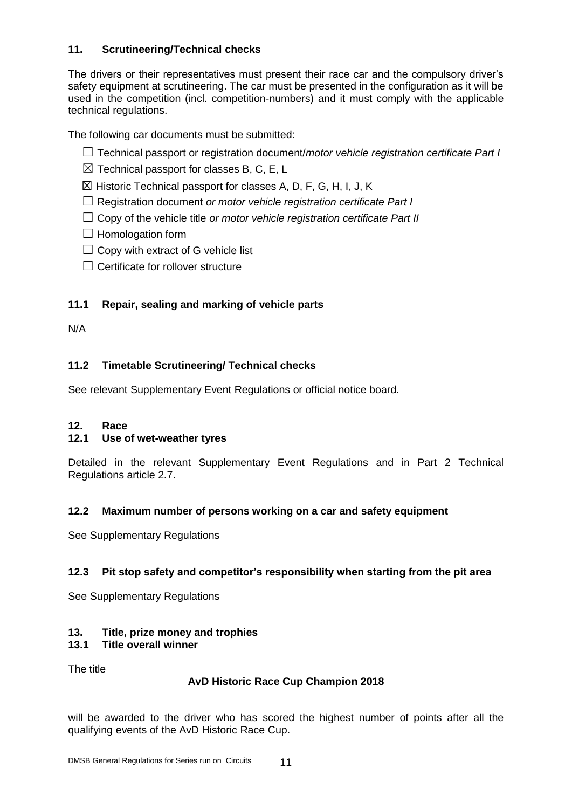# **11. Scrutineering/Technical checks**

The drivers or their representatives must present their race car and the compulsory driver's safety equipment at scrutineering. The car must be presented in the configuration as it will be used in the competition (incl. competition-numbers) and it must comply with the applicable technical regulations.

The following car documents must be submitted:

- ☐ Technical passport or registration document/*motor vehicle registration certificate Part I*
- $\boxtimes$  Technical passport for classes B, C, E, L
- ☒ Historic Technical passport for classes A, D, F, G, H, I, J, K
- ☐ Registration document *or motor vehicle registration certificate Part I*
- ☐ Copy of the vehicle title *or motor vehicle registration certificate Part II*
- $\Box$  Homologation form
- $\Box$  Copy with extract of G vehicle list
- $\Box$  Certificate for rollover structure

### **11.1 Repair, sealing and marking of vehicle parts**

N/A

# **11.2 Timetable Scrutineering/ Technical checks**

See relevant Supplementary Event Regulations or official notice board.

#### **12. Race**

#### **12.1 Use of wet-weather tyres**

Detailed in the relevant Supplementary Event Regulations and in Part 2 Technical Regulations article 2.7.

#### **12.2 Maximum number of persons working on a car and safety equipment**

See Supplementary Regulations

#### **12.3 Pit stop safety and competitor's responsibility when starting from the pit area**

See Supplementary Regulations

#### **13. Title, prize money and trophies**

#### **13.1 Title overall winner**

The title

#### **AvD Historic Race Cup Champion 2018**

will be awarded to the driver who has scored the highest number of points after all the qualifying events of the AvD Historic Race Cup.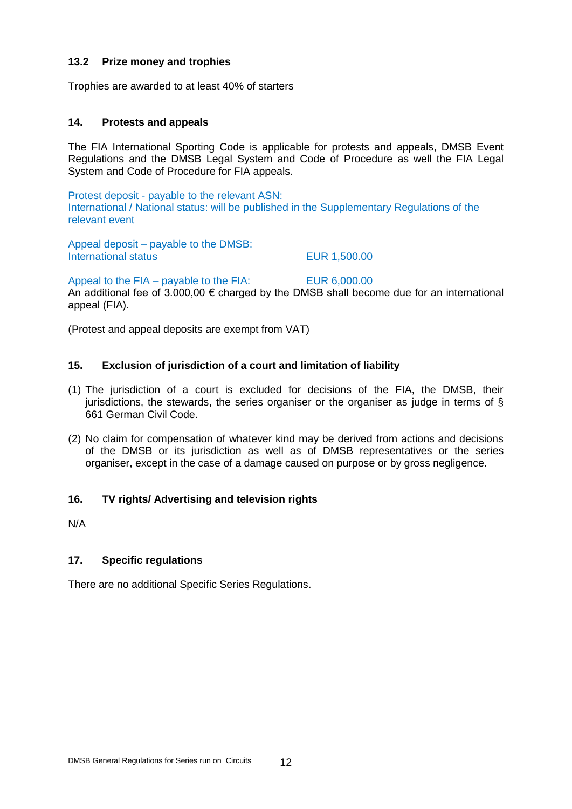Protest deposit - payable to the relevant ASN: International / National status: will be published in the Supplementary Regulations of the relevant event

The FIA International Sporting Code is applicable for protests and appeals, DMSB Event Regulations and the DMSB Legal System and Code of Procedure as well the FIA Legal

Appeal deposit – payable to the DMSB: International status **EUR 1,500.00** 

Appeal to the FIA – payable to the FIA: EUR 6,000.00

An additional fee of  $3.000,00 \in \text{charged}$  by the DMSB shall become due for an international appeal (FIA).

(Protest and appeal deposits are exempt from VAT)

#### **15. Exclusion of jurisdiction of a court and limitation of liability**

- (1) The jurisdiction of a court is excluded for decisions of the FIA, the DMSB, their jurisdictions, the stewards, the series organiser or the organiser as judge in terms of § 661 German Civil Code.
- (2) No claim for compensation of whatever kind may be derived from actions and decisions of the DMSB or its jurisdiction as well as of DMSB representatives or the series organiser, except in the case of a damage caused on purpose or by gross negligence.

#### **16. TV rights/ Advertising and television rights**

N/A

#### **17. Specific regulations**

There are no additional Specific Series Regulations.

#### **13.2 Prize money and trophies**

Trophies are awarded to at least 40% of starters

System and Code of Procedure for FIA appeals.

#### **14. Protests and appeals**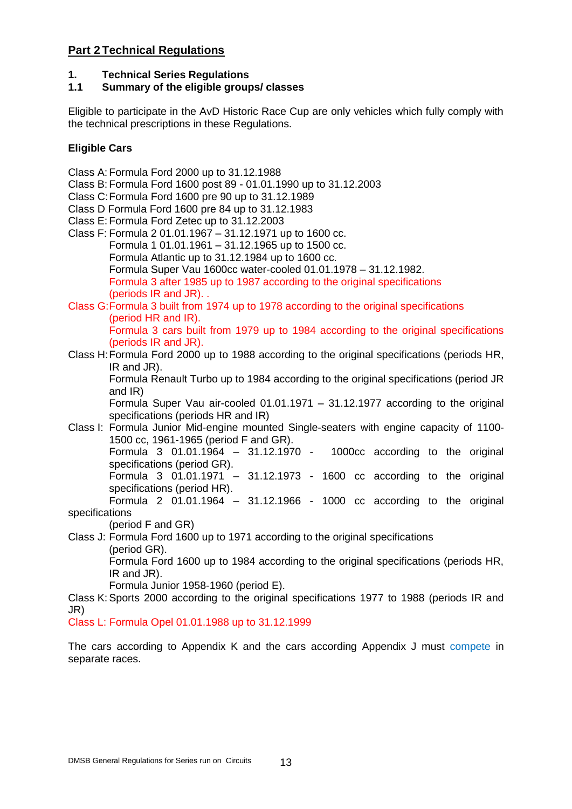# **Part 2 Technical Regulations**

# **1. Technical Series Regulations**

## **1.1 Summary of the eligible groups/ classes**

Eligible to participate in the AvD Historic Race Cup are only vehicles which fully comply with the technical prescriptions in these Regulations.

## **Eligible Cars**

Class A:Formula Ford 2000 up to 31.12.1988 Class B:Formula Ford 1600 post 89 - 01.01.1990 up to 31.12.2003 Class C:Formula Ford 1600 pre 90 up to 31.12.1989 Class D Formula Ford 1600 pre 84 up to 31.12.1983 Class E:Formula Ford Zetec up to 31.12.2003 Class F: Formula 2 01.01.1967 – 31.12.1971 up to 1600 cc. Formula 1 01.01.1961 – 31.12.1965 up to 1500 cc. Formula Atlantic up to 31.12.1984 up to 1600 cc. Formula Super Vau 1600cc water-cooled 01.01.1978 – 31.12.1982. Formula 3 after 1985 up to 1987 according to the original specifications (periods IR and JR). . Class G:Formula 3 built from 1974 up to 1978 according to the original specifications (period HR and IR). Formula 3 cars built from 1979 up to 1984 according to the original specifications (periods IR and JR). Class H:Formula Ford 2000 up to 1988 according to the original specifications (periods HR, IR and JR). Formula Renault Turbo up to 1984 according to the original specifications (period JR and IR) Formula Super Vau air-cooled 01.01.1971 – 31.12.1977 according to the original specifications (periods HR and IR) Class I: Formula Junior Mid-engine mounted Single-seaters with engine capacity of 1100- 1500 cc, 1961-1965 (period F and GR). Formula 3 01.01.1964 – 31.12.1970 - 1000cc according to the original specifications (period GR). Formula 3 01.01.1971 – 31.12.1973 - 1600 cc according to the original specifications (period HR). Formula 2  $01.01.1964 - 31.12.1966 - 1000$  cc according to the original specifications (period F and GR) Class J: Formula Ford 1600 up to 1971 according to the original specifications (period GR). Formula Ford 1600 up to 1984 according to the original specifications (periods HR, IR and JR). Formula Junior 1958-1960 (period E). Class K:Sports 2000 according to the original specifications 1977 to 1988 (periods IR and JR) Class L: Formula Opel 01.01.1988 up to 31.12.1999 The cars according to Appendix K and the cars according Appendix J must compete in

separate races.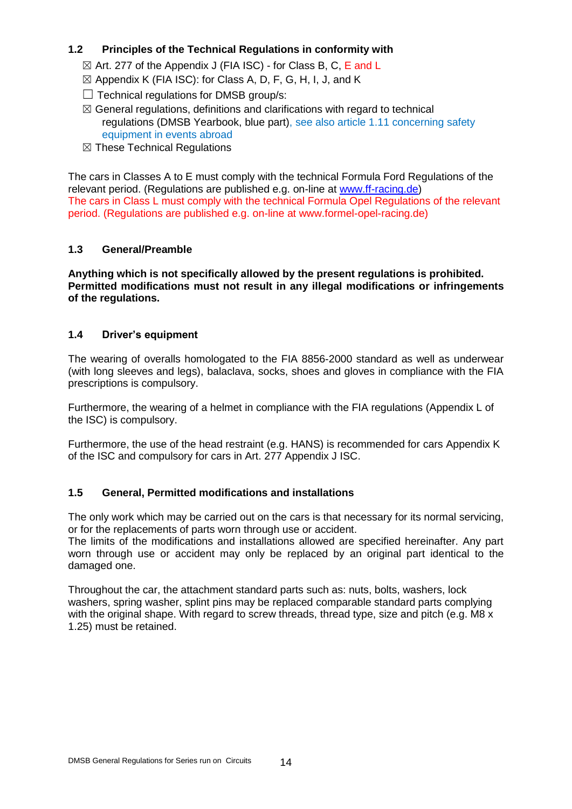# **1.2 Principles of the Technical Regulations in conformity with**

- $\boxtimes$  Art. 277 of the Appendix J (FIA ISC) for Class B, C, E and L
- $\boxtimes$  Appendix K (FIA ISC): for Class A, D, F, G, H, I, J, and K
- $\Box$  Technical regulations for DMSB group/s:
- $\boxtimes$  General regulations, definitions and clarifications with regard to technical regulations (DMSB Yearbook, blue part), see also article 1.11 concerning safety equipment in events abroad
- ☒ These Technical Regulations

The cars in Classes A to E must comply with the technical Formula Ford Regulations of the relevant period. (Regulations are published e.g. on-line at [www.ff-racing.de\)](http://www.ff-racing.de/) The cars in Class L must comply with the technical Formula Opel Regulations of the relevant period. (Regulations are published e.g. on-line at www.formel-opel-racing.de)

# **1.3 General/Preamble**

**Anything which is not specifically allowed by the present regulations is prohibited. Permitted modifications must not result in any illegal modifications or infringements of the regulations.**

### **1.4 Driver's equipment**

The wearing of overalls homologated to the FIA 8856-2000 standard as well as underwear (with long sleeves and legs), balaclava, socks, shoes and gloves in compliance with the FIA prescriptions is compulsory.

Furthermore, the wearing of a helmet in compliance with the FIA regulations (Appendix L of the ISC) is compulsory.

Furthermore, the use of the head restraint (e.g. HANS) is recommended for cars Appendix K of the ISC and compulsory for cars in Art. 277 Appendix J ISC.

# **1.5 General, Permitted modifications and installations**

The only work which may be carried out on the cars is that necessary for its normal servicing, or for the replacements of parts worn through use or accident.

The limits of the modifications and installations allowed are specified hereinafter. Any part worn through use or accident may only be replaced by an original part identical to the damaged one.

Throughout the car, the attachment standard parts such as: nuts, bolts, washers, lock washers, spring washer, splint pins may be replaced comparable standard parts complying with the original shape. With regard to screw threads, thread type, size and pitch (e.g. M8 x 1.25) must be retained.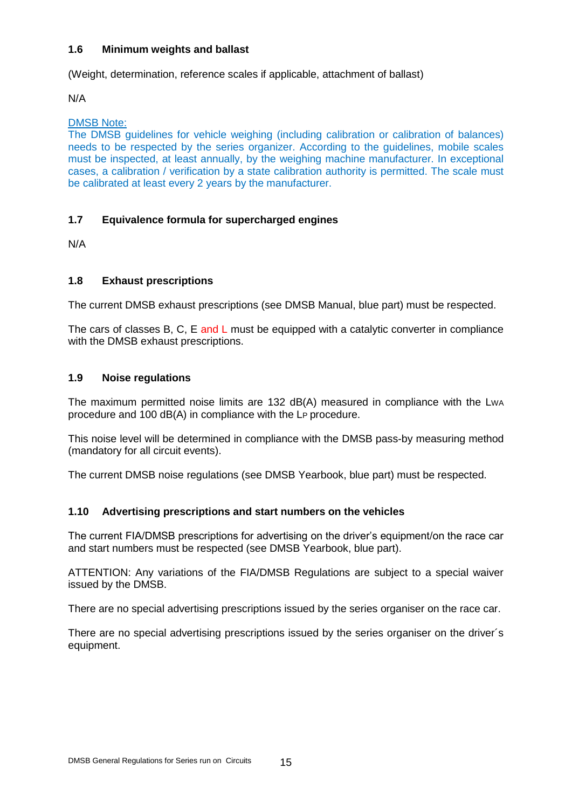### **1.6 Minimum weights and ballast**

(Weight, determination, reference scales if applicable, attachment of ballast)

N/A

#### DMSB Note:

The DMSB guidelines for vehicle weighing (including calibration or calibration of balances) needs to be respected by the series organizer. According to the guidelines, mobile scales must be inspected, at least annually, by the weighing machine manufacturer. In exceptional cases, a calibration / verification by a state calibration authority is permitted. The scale must be calibrated at least every 2 years by the manufacturer.

# **1.7 Equivalence formula for supercharged engines**

N/A

### **1.8 Exhaust prescriptions**

The current DMSB exhaust prescriptions (see DMSB Manual, blue part) must be respected.

The cars of classes B, C, E and L must be equipped with a catalytic converter in compliance with the DMSB exhaust prescriptions.

### **1.9 Noise regulations**

The maximum permitted noise limits are 132 dB(A) measured in compliance with the LWA procedure and 100 dB(A) in compliance with the LP procedure.

This noise level will be determined in compliance with the DMSB pass-by measuring method (mandatory for all circuit events).

The current DMSB noise regulations (see DMSB Yearbook, blue part) must be respected.

# **1.10 Advertising prescriptions and start numbers on the vehicles**

The current FIA/DMSB prescriptions for advertising on the driver's equipment/on the race car and start numbers must be respected (see DMSB Yearbook, blue part).

ATTENTION: Any variations of the FIA/DMSB Regulations are subject to a special waiver issued by the DMSB.

There are no special advertising prescriptions issued by the series organiser on the race car.

There are no special advertising prescriptions issued by the series organiser on the driver´s equipment.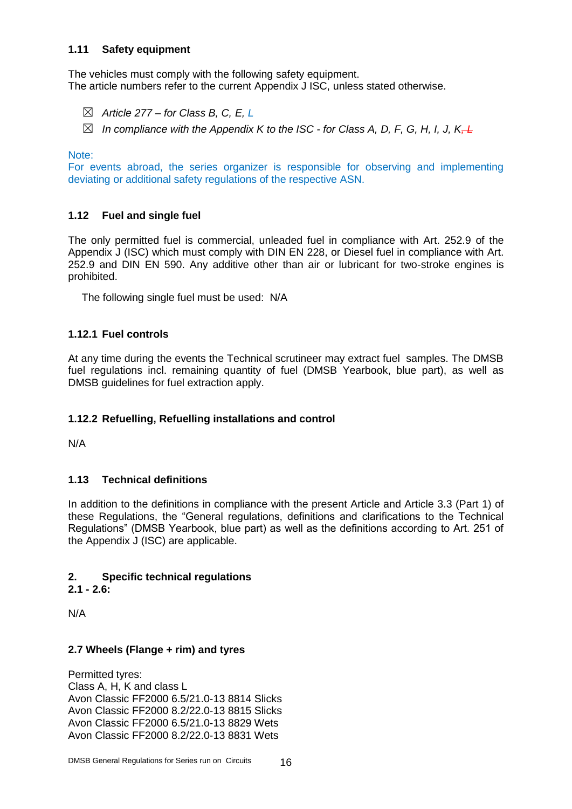### **1.11 Safety equipment**

The vehicles must comply with the following safety equipment. The article numbers refer to the current Appendix J ISC, unless stated otherwise.

- ☒ *Article 277 – for Class B, C, E, L*
- ☒ *In compliance with the Appendix K to the ISC - for Class A, D, F, G, H, I, J, K, L*

Note:

For events abroad, the series organizer is responsible for observing and implementing deviating or additional safety regulations of the respective ASN.

### **1.12 Fuel and single fuel**

The only permitted fuel is commercial, unleaded fuel in compliance with Art. 252.9 of the Appendix J (ISC) which must comply with DIN EN 228, or Diesel fuel in compliance with Art. 252.9 and DIN EN 590. Any additive other than air or lubricant for two-stroke engines is prohibited.

The following single fuel must be used: N/A

### **1.12.1 Fuel controls**

At any time during the events the Technical scrutineer may extract fuel samples. The DMSB fuel regulations incl. remaining quantity of fuel (DMSB Yearbook, blue part), as well as DMSB guidelines for fuel extraction apply.

#### **1.12.2 Refuelling, Refuelling installations and control**

N/A

#### **1.13 Technical definitions**

In addition to the definitions in compliance with the present Article and Article 3.3 (Part 1) of these Regulations, the "General regulations, definitions and clarifications to the Technical Regulations" (DMSB Yearbook, blue part) as well as the definitions according to Art. 251 of the Appendix J (ISC) are applicable.

#### **2. Specific technical regulations**

**2.1 - 2.6:**

N/A

#### **2.7 Wheels (Flange + rim) and tyres**

Permitted tyres: Class A, H, K and class L Avon Classic FF2000 6.5/21.0-13 8814 Slicks Avon Classic FF2000 8.2/22.0-13 8815 Slicks Avon Classic FF2000 6.5/21.0-13 8829 Wets Avon Classic FF2000 8.2/22.0-13 8831 Wets